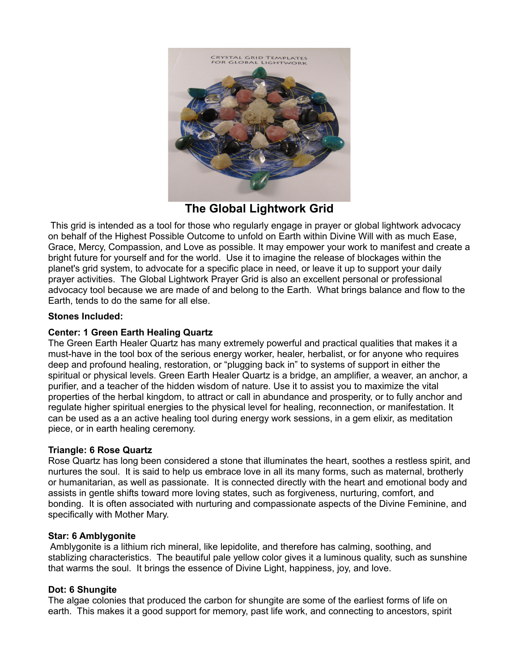

**The Global Lightwork Grid**

 This grid is intended as a tool for those who regularly engage in prayer or global lightwork advocacy on behalf of the Highest Possible Outcome to unfold on Earth within Divine Will with as much Ease, Grace, Mercy, Compassion, and Love as possible. It may empower your work to manifest and create a bright future for yourself and for the world. Use it to imagine the release of blockages within the planet's grid system, to advocate for a specific place in need, or leave it up to support your daily prayer activities. The Global Lightwork Prayer Grid is also an excellent personal or professional advocacy tool because we are made of and belong to the Earth. What brings balance and flow to the Earth, tends to do the same for all else.

# **Stones Included:**

# **Center: 1 Green Earth Healing Quartz**

The Green Earth Healer Quartz has many extremely powerful and practical qualities that makes it a must-have in the tool box of the serious energy worker, healer, herbalist, or for anyone who requires deep and profound healing, restoration, or "plugging back in" to systems of support in either the spiritual or physical levels. Green Earth Healer Quartz is a bridge, an amplifier, a weaver, an anchor, a purifier, and a teacher of the hidden wisdom of nature. Use it to assist you to maximize the vital properties of the herbal kingdom, to attract or call in abundance and prosperity, or to fully anchor and regulate higher spiritual energies to the physical level for healing, reconnection, or manifestation. It can be used as a an active healing tool during energy work sessions, in a gem elixir, as meditation piece, or in earth healing ceremony.

## **Triangle: 6 Rose Quartz**

Rose Quartz has long been considered a stone that illuminates the heart, soothes a restless spirit, and nurtures the soul. It is said to help us embrace love in all its many forms, such as maternal, brotherly or humanitarian, as well as passionate. It is connected directly with the heart and emotional body and assists in gentle shifts toward more loving states, such as forgiveness, nurturing, comfort, and bonding. It is often associated with nurturing and compassionate aspects of the Divine Feminine, and specifically with Mother Mary.

## **Star: 6 Amblygonite**

 Amblygonite is a lithium rich mineral, like lepidolite, and therefore has calming, soothing, and stablizing characteristics. The beautiful pale yellow color gives it a luminous quality, such as sunshine that warms the soul. It brings the essence of Divine Light, happiness, joy, and love.

## **Dot: 6 Shungite**

The algae colonies that produced the carbon for shungite are some of the earliest forms of life on earth. This makes it a good support for memory, past life work, and connecting to ancestors, spirit